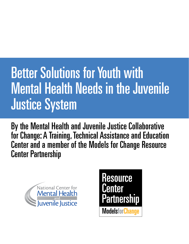# Better Solutions for Youth with Mental Health Needs in the Juvenile Justice System

By the Mental Health and Juvenile Justice Collaborative for Change: A Training, Technical Assistance and Education Center and a member of the Models for Change Resource Center Partnership



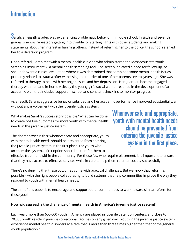# **Introduction**

 $\mathbf S$ arah, an eighth grader, was experiencing problematic behavior in middle school. In sixth and seventh grades, she was repeatedly getting into trouble for starting fights with other students and making statements about her interest in harming others. Instead of referring her to the police, the school referred her to a diversion program.

Upon referral, Sarah met with a mental health clinician who administered the Massachusetts Youth Screening Instrument-2, a mental health screening tool. The screen indicated a need for follow-up, so she underwent a clinical evaluation where it was determined that Sarah had some mental health issues, primarily related to trauma after witnessing the murder of one of her parents several years ago. She was referred to therapy to help with her anger issues and her depression. Her guardian became engaged in therapy with her, and in-home visits by the young girl's social worker resulted in the development of an academic plan that included support in school and constant check-ins to monitor progress.

As a result, Sarah's aggressive behavior subsided and her academic performance improved substantially, all without any involvement with the juvenile justice system.

What makes Sarah's success story possible? What can be done to create positive outcomes for more youth with mental health needs in the juvenile justice system?

The short answer is this: whenever safe and appropriate, youth with mental health needs should be prevented from entering the juvenile justice system in the first place. For youth who *do* enter the system, a first option should be to refer them to

Whenever safe and appropriate, youth with mental health needs should be prevented from entering the juvenile justice system in the first place.

effective treatment within the community. For those few who require placement, it is important to ensure that they have access to effective services while in care to help them re-enter society successfully.

There's no denying that these outcomes come with practical challenges. But we know that reform is possible – with the right people collaborating to build systems that help communities improve the way they respond to youth with mental health needs.

The aim of this paper is to encourage and support other communities to work toward similar reform for these youth.

## **How widespread is the challenge of mental health in America's juvenile justice system?**

Each year, more than 600,000 youth in America are placed in juvenile detention centers, and close to 70,000 youth reside in juvenile correctional facilities on any given day.1 Youth in the juvenile justice system experience mental health disorders at a rate that is more than three times higher than that of the general youth population.2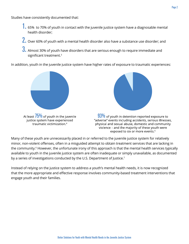- 1. 65% to 70% of youth in contact with the juvenile justice system have a diagnosable mental health disorder;
- 2. Over 60% of youth with a mental health disorder also have a substance use disorder; and
- 3. Almost 30% of youth have disorders that are serious enough to require immediate and significant treatment.<sup>3</sup>

In addition, youth in the juvenile justice system have higher rates of exposure to traumatic experiences:



At least  $75\%$  of youth in the juvenile justice system have experienced traumatic victimization.<sup>4</sup>



 $93\%$  of youth in detention reported exposure to "adverse" events including accidents, serious illnesses, physical and sexual abuse, domestic and community violence – and the majority of these youth were exposed to six or more events.<sup>5</sup>

Many of these youth are unnecessarily placed in or referred to the juvenile justice system for relatively minor, non-violent offenses, often in a misguided attempt to obtain treatment services that are lacking in the community.<sup>6</sup> However, the unfortunate irony of this approach is that the mental health services typically available to youth in the juvenile justice system are often inadequate or simply unavailable, as documented by a series of investigations conducted by the U.S. Department of Justice.<sup>7</sup>

Instead of relying on the justice system to address a youth's mental health needs, it is now recognized that the more appropriate and effective response involves community-based treatment interventions that engage youth and their families.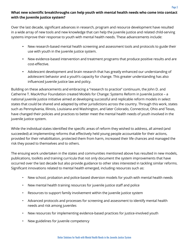# **What new scientific breakthroughs can help youth with mental health needs who come into contact with the juvenile justice system?**

Over the last decade, significant advances in research, program and resource development have resulted in a wide array of new tools and new knowledge that can help the juvenile justice and related child-serving systems improve their response to youth with mental health needs. These advancements include:

- New research-based mental health screening and assessment tools and protocols to guide their use with youth in the juvenile justice system.
- New evidence-based intervention and treatment programs that produce positive results and are cost-effective.
- • Adolescent development and brain research that has greatly enhanced our understanding of adolescent behavior and a youth's capacity for change. This greater understanding has also influenced juvenile justice law and policy.

Building on these advancements and embracing a "research to practice" continuum, the John D. and Catherine T. MacArthur Foundation created Models for Change: Systems Reform in Juvenile Justice – a national juvenile justice initiative aimed at developing successful and replicable reform models in select states that could be shared and adapted by other jurisdictions across the country. Through this work, states such as Pennsylvania, Illinois, Louisiana and Washington, and later Colorado, Connecticut, Ohio and Texas, have changed their policies and practices to better meet the mental health needs of youth involved in the juvenile justice system.

While the individual states identified the specific areas of reform they wished to address, all aimed (and succeeded) at implementing reforms that effectively held young people accountable for their actions, provided for their rehabilitation, protected them from harm, increased their life chances and managed the risk they posed to themselves and to others.

The ensuing work undertaken in the states and communities mentioned above has resulted in new models, publications, toolkits and training curricula that not only document the system improvements that have occurred over the last decade but also provide guidance to other sites interested in tackling similar reforms. Significant innovations related to mental health emerged, including resources such as:

- New school, probation and police-based diversion models for youth with mental health needs
- New mental health training resources for juvenile justice staff and police
- Resources to support family involvement within the juvenile justice system
- Advanced protocols and processes for screening and assessment to identify mental health needs and risk among juveniles
- New resources for implementing evidence-based practices for justice-involved youth
- New guidelines for juvenile competency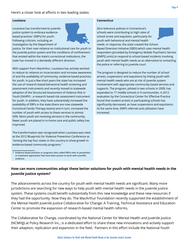Here's a closer look at efforts in two leading states:

#### **Louisiana**

Louisiana has transformed its juvenile justice system to embrace evidencebased practices<sup>1</sup> (EBPs) for youth. Following criticism, including an investigation by the Department of



Justice, for their over-reliance on institutional care for youth in the juvenile justice system and the conditions of confinement that existed within the state's correctional institutions, the state has moved in a decidedly different direction.

With support from MacArthur, Louisiana has actively worked to reduce its reliance on incarceration and increase awareness of and the availability of community, evidence-based practices for youth. In just a few short years the state has increased the use of research-based behavioral health screening and assessment instruments and recently moved to statewide adoption of the Structured Assessment of Violence Risk in Youth (SAVRY) - a research based risk assessment instrument for youth. In addition, they have substantially increased the availability of EBPs in the state (there are now statewide Functional Family Therapy teams) and in turn, increased the number of youth with access to these services to almost 50%. More youth are receiving services in the community, fewer youth are placed in in-home care and public safety has improved.

The transformation was recognized when Louisiana was cited at the 2012 Blueprints for Violence Prevention Conference as "among the top four states in this country to show growth in evidence-based community programs."

#### **Connecticut**

Zero tolerance policies in Connecticut's schools were contributing to high rates of school arrest and expulsion, particularly for youth with behavioral and mental health needs. In response, the state created the School-Based Diversion Initiative (SBDI) which uses mental health responders (provided by Emergency Mobile Psychiatric Service [EMPS] units) to respond to school-based incidents involving youth with mental health needs as an alternative to contacting the police or referring to juvenile court.

The program is designed to reduce the number of school arrests, suspensions and expulsions by linking youth with mental health needs who are at risk of juvenile system involvement with appropriate community based services and supports. The program, piloted in two schools in 2009, has expanded to 17 middle schools in 9 communities. A 2012 evaluation by the Connecticut Center for Effective Practice found that student arrests in participating schools has significantly decreased, as have suspensions and expulsions. At the same time, EMPS referrals and utilization have increased.

## **How can more communities adopt these better solutions for youth with mental health needs in the juvenile justice system?**

The advancements across the country for youth with mental health needs are significant. Many more jurisdictions are searching for new ways to help youth with mental health needs in the juvenile justice system. These systems could benefit substantially from this new knowledge and these new resources if they had the opportunity. Now they do. The MacArthur Foundation recently supported the establishment of the Mental Health Juvenile Justice Collaborative for Change: A Training, Technical Assistance and Education Center to promote the expansion of research-based mental health reforms.

The Collaborative for Change*,* coordinated by the National Center for Mental Health and Juvenile Justice (NCMHJJ) at Policy Research Inc., is a dedicated effort to share these new innovations and actively support their adaption, replication and expansion in the field. Partners in this effort include the National Youth

<sup>1</sup> Evidence based practices or programs (also called EBPs) refer to prevention or treatment approaches that have been proven to work with scientific evidence.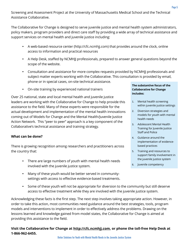Screening and Assessment Project at the University of Massachusetts Medical School and the Technical Assistance Collaborative.

The Collaborative for Change is designed to serve juvenile justice and mental health system administrators, policy makers, program providers and direct care staff by providing a wide array of technical assistance and support services on mental health and juvenile justice including:

- A web-based resource center [\(http://cfc.ncmhjj.com](http://cfc.ncmhjj.com)) that provides around the clock, online access to information and practical resources
- A Help Desk, staffed by NCMHJJ professionals, prepared to answer general questions beyond the scope of the website.
- Consultation and assistance for more complex requests provided by NCMHJJ professionals and subject matter experts working with the Collaborative. This consultation is provided by email, phone or in special cases, on-site technical assistance.
- On-site training by experienced national trainers

Over 25 national, state and local mental health and juvenile justice leaders are working with the Collaborative for Change to help provide this assistance to the field. Many of these experts were responsible for the actual development and implementation of the mental health innovations coming out of Models for Change and the Mental Health/Juvenile Justice Action Network. This "peer to peer" approach is a key component of the Collaborative's technical assistance and training strategy.

#### **What can be done?**

There is growing recognition among researchers and practitioners across the country that:

- There are large numbers of youth with mental health needs involved with the juvenile justice system.
- Many of these youth would be better served in communitysettings with access to effective evidence-based treatments.

#### **The substantive focus of the Collaborative for Change includes:**

- 1. Mental health screening within juvenile justice settings
- 2. Diversion strategies and models for youth with mental health needs
- 3. Adolescent Mental Health Training for Juvenile Justice Staff and Police
- 4. Guidance around the implementation of evidencebased practices
- 5. Training and resources to support family involvement in the juvenile justice system
- 6. Juvenile competency
- Some of these youth will not be appropriate for diversion to the community but still deserve access to effective treatment while they are involved with the juvenile justice system.

Acknowledging these facts is the first step. The next step involves taking appropriate action. However, in order to take this action, most communities need guidance around the best strategies, tools, program models and interventions to implement in order to effectively address the problems. Drawing on the lessons learned and knowledge gained from model states, the Collaborative for Change is aimed at providing this assistance to the field.

## **Visit the Collaborative for Change at <http://cfc.ncmhjj.com>, or phone the toll-free Help Desk at 1-866-962-6455.**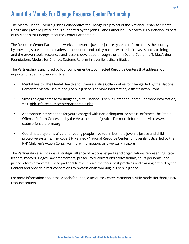# About the Models For Change Resource Center Partnership

The Mental Health Juvenile Justice Collaborative for Change is a project of the National Center for Mental Health and Juvenile Justice and is supported by the John D. and Catherine T. MacArthur Foundation, as part of its Models for Change Resource Center Partnership.

The Resource Center Partnership works to advance juvenile justice systems reform across the country by providing state and local leaders, practitioners and policymakers with technical assistance, training, and the proven tools, resources and lessons developed through the John D. and Catherine T. MacArthur Foundation's Models for Change: Systems Reform in Juvenile Justice initiative.

The Partnership is anchored by four complementary, connected Resource Centers that address four important issues in juvenile justice:

- Mental health: The Mental Health and Juvenile Justice Collaborative for Change, led by the National Center for Mental Health and Juvenile Justice. For more information, visit: cfc.ncmhij.com
- Stronger legal defense for indigent youth: National Juvenile Defender Center. For more information, visit: [njdc.info/resourcecenterpartnership.php](http://njdc.info/resourcecenterpartnership.php)
- Appropriate interventions for youth charged with non-delinquent–or status–offenses: The Status Offense Reform Center, led by the Vera Institute of Justice. For more information, visit: [www.](http://www.statusoffensereform.org) [statusoffensereform.org](http://www.statusoffensereform.org)
- Coordinated systems of care for young people involved in both the juvenile justice and child protective systems: The Robert F. Kennedy National Resource Center for Juvenile Justice, led by the RFK Children's Action Corps. For more information, visit: [www.rfknrcjj.org](http://www.rfknrcjj.org)

The Partnership also includes a strategic alliance of national experts and organizations representing state leaders, mayors, judges, law enforcement, prosecutors, corrections professionals, court personnel and justice reform advocates. These partners further enrich the tools, best practices and training offered by the Centers and provide direct connections to professionals working in juvenile justice.

For more information about the Models for Change Resource Center Partnership, visit: [modelsforchange.net/](http://modelsforchange.net/resourcecenters) [resourcecenters](http://modelsforchange.net/resourcecenters)